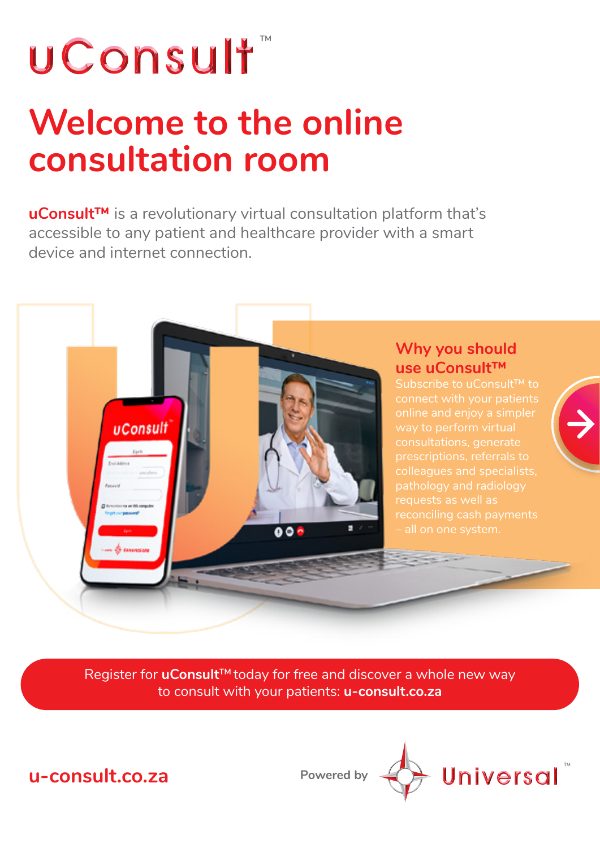# UConsult<sup>\*</sup>

**uConsult** 

## **Welcome to the online consultation room**

**uConsult™** is a revolutionary virtual consultation platform that's accessible to any patient and healthcare provider with a smart device and internet connection.



Subscribe to uConsult™ to connect with your patients way to perform virtual colleagues and specialists, requests as well as reconciling cash payments



 $000$ 

**u-consult.co.za**

**Powered by**

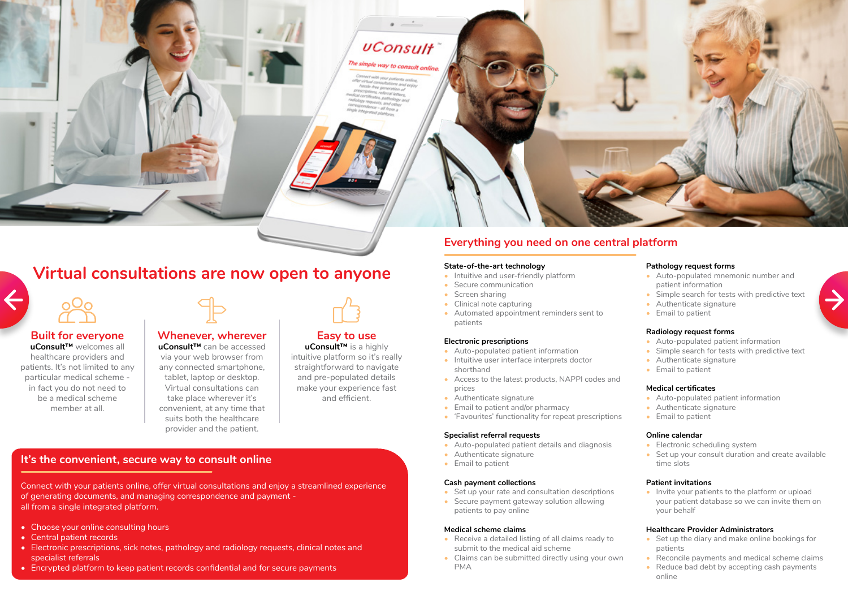## **uConsult**

The simple way to consult online. ect with your patients

## **Virtual consultations are now open to anyone**



#### **Built for everyone**

**uConsult™** welcomes all healthcare providers and patients. It's not limited to any particular medical scheme in fact you do not need to be a medical scheme member at all.



## **Whenever, wherever**

**uConsult™** can be accessed via your web browser from any connected smartphone, tablet, laptop or desktop. Virtual consultations can take place wherever it's convenient, at any time that suits both the healthcare provider and the patient.

#### **Easy to use uConsult™** is a highly

intuitive platform so it's really straightforward to navigate and pre-populated details make your experience fast and efficient.

### **It's the convenient, secure way to consult online**

- Intuitive and user-friendly platform
- Secure communication
- Screen sharing
- Clinical note capturing
- Automated appointment reminders sent to patients

Connect with your patients online, offer virtual consultations and enjoy a streamlined experience of generating documents, and managing correspondence and payment all from a single integrated platform.

- Set up your rate and consultation descriptions
- Secure payment gateway solution allowing patients to pay online

- Choose your online consulting hours
- Central patient records
- Electronic prescriptions, sick notes, pathology and radiology requests, clinical notes and specialist referrals
- Encrypted platform to keep patient records confidential and for secure payments
- Auto-populated mnemonic number and patient information
- Simple search for tests with predictive text
- Authenticate signature
- Email to patient

### **Everything you need on one central platform**

#### **State-of-the-art technology**

- Electronic scheduling system
- Set up your consult duration and create available time slots

• Invite your patients to the platform or upload your patient database so we can invite them on your behalf

#### **Electronic prescriptions**

- Set up the diary and make online bookings for patients
- Reconcile payments and medical scheme claims
- Reduce bad debt by accepting cash payments online



- Auto-populated patient information
- Intuitive user interface interprets doctor shorthand
- Access to the latest products, NAPPI codes and prices
- Authenticate signature
- Email to patient and/or pharmacy
- 'Favourites' functionality for repeat prescriptions

#### **Specialist referral requests**

- Auto-populated patient details and diagnosis
- Authenticate signature
- Email to patient

#### **Cash payment collections**

#### **Medical scheme claims**

- Receive a detailed listing of all claims ready to submit to the medical aid scheme
- Claims can be submitted directly using your own PMA



#### **Pathology request forms**

#### **Radiology request forms**

- Auto-populated patient information
- Simple search for tests with predictive text
- Authenticate signature
- Email to patient

#### **Medical certificates**

- Auto-populated patient information
- Authenticate signature
- Email to patient

#### **Online calendar**

#### **Patient invitations**

#### **Healthcare Provider Administrators**